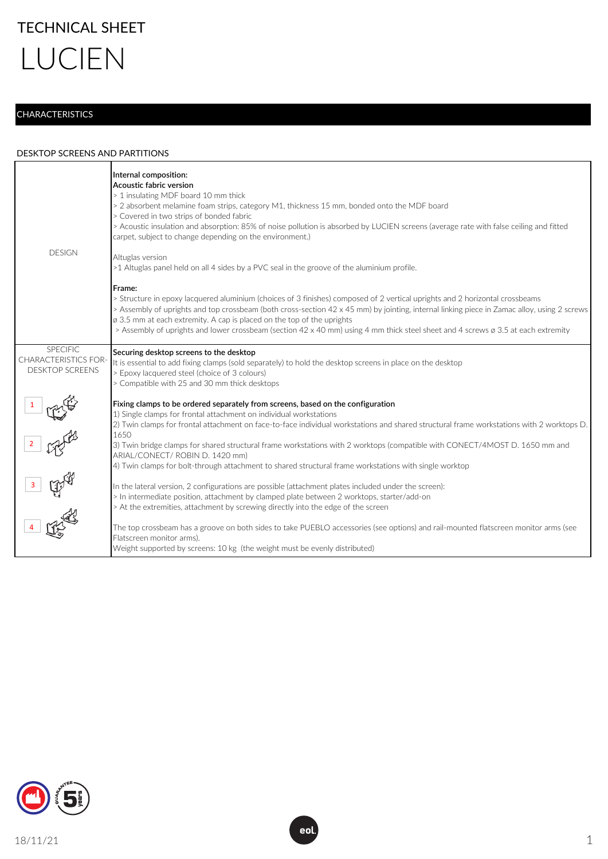## **CHARACTERISTICS**

## DESKTOP SCREENS AND PARTITIONS

| <b>DESIGN</b>                                                            | Internal composition:<br>Acoustic fabric version<br>> 1 insulating MDF board 10 mm thick<br>> 2 absorbent melamine foam strips, category M1, thickness 15 mm, bonded onto the MDF board<br>> Covered in two strips of bonded fabric<br>> Acoustic insulation and absorption: 85% of noise pollution is absorbed by LUCIEN screens (average rate with false ceiling and fitted<br>carpet, subject to change depending on the environment.)<br>Altuglas version<br>>1 Altuglas panel held on all 4 sides by a PVC seal in the groove of the aluminium profile.<br>Frame:<br>> Structure in epoxy lacquered aluminium (choices of 3 finishes) composed of 2 vertical uprights and 2 horizontal crossbeams<br>> Assembly of uprights and top crossbeam (both cross-section 42 x 45 mm) by jointing, internal linking piece in Zamac alloy, using 2 screws<br>ø 3.5 mm at each extremity. A cap is placed on the top of the uprights<br>> Assembly of uprights and lower crossbeam (section 42 x 40 mm) using 4 mm thick steel sheet and 4 screws ø 3.5 at each extremity |
|--------------------------------------------------------------------------|----------------------------------------------------------------------------------------------------------------------------------------------------------------------------------------------------------------------------------------------------------------------------------------------------------------------------------------------------------------------------------------------------------------------------------------------------------------------------------------------------------------------------------------------------------------------------------------------------------------------------------------------------------------------------------------------------------------------------------------------------------------------------------------------------------------------------------------------------------------------------------------------------------------------------------------------------------------------------------------------------------------------------------------------------------------------|
| <b>SPECIFIC</b><br><b>CHARACTERISTICS FOR-</b><br><b>DESKTOP SCREENS</b> | Securing desktop screens to the desktop<br>It is essential to add fixing clamps (sold separately) to hold the desktop screens in place on the desktop<br>> Epoxy lacquered steel (choice of 3 colours)<br>> Compatible with 25 and 30 mm thick desktops                                                                                                                                                                                                                                                                                                                                                                                                                                                                                                                                                                                                                                                                                                                                                                                                              |
|                                                                          | Fixing clamps to be ordered separately from screens, based on the configuration<br>1) Single clamps for frontal attachment on individual workstations<br>2) Twin clamps for frontal attachment on face-to-face individual workstations and shared structural frame workstations with 2 worktops D.<br>1650<br>3) Twin bridge clamps for shared structural frame workstations with 2 worktops (compatible with CONECT/4MOST D. 1650 mm and<br>ARIAL/CONECT/ ROBIN D. 1420 mm)<br>4) Twin clamps for bolt-through attachment to shared structural frame workstations with single worktop                                                                                                                                                                                                                                                                                                                                                                                                                                                                               |
| $\frac{1}{3}$ $\frac{1}{3}$ $\frac{1}{3}$ $\frac{1}{3}$ $\frac{1}{3}$    | In the lateral version, 2 configurations are possible (attachment plates included under the screen):<br>> In intermediate position, attachment by clamped plate between 2 worktops, starter/add-on<br>> At the extremities, attachment by screwing directly into the edge of the screen<br>The top crossbeam has a groove on both sides to take PUEBLO accessories (see options) and rail-mounted flatscreen monitor arms (see<br>Flatscreen monitor arms).<br>Weight supported by screens: 10 kg (the weight must be evenly distributed)                                                                                                                                                                                                                                                                                                                                                                                                                                                                                                                            |

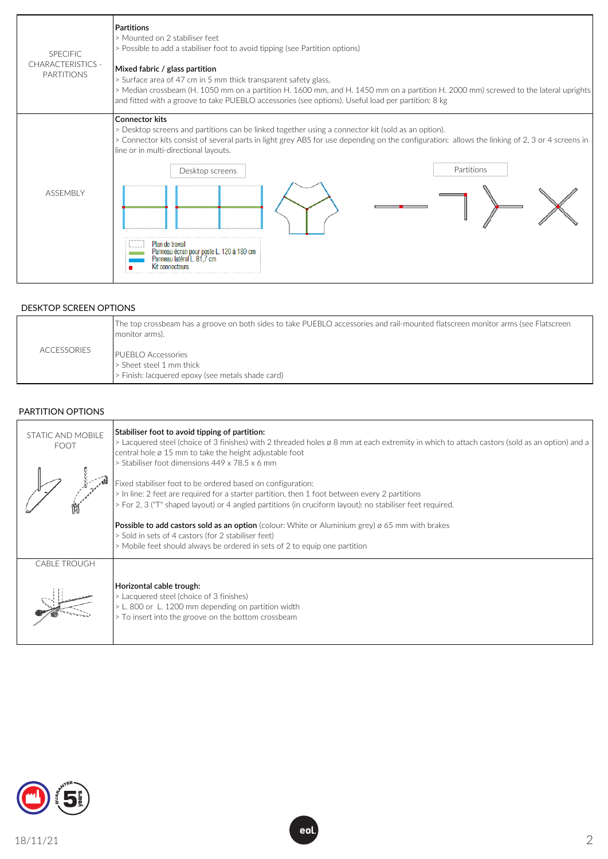

## DESKTOP SCREEN OPTIONS

|                    | The top crossbeam has a groove on both sides to take PUEBLO accessories and rail-mounted flatscreen monitor arms (see Flatscreen<br>monitor arms). |
|--------------------|----------------------------------------------------------------------------------------------------------------------------------------------------|
| <b>ACCESSORIES</b> | <b>PUEBLO Accessories</b><br>> Sheet steel 1 mm thick                                                                                              |
|                    | > Finish: lacquered epoxy (see metals shade card)                                                                                                  |

## PARTITION OPTIONS

| STATIC AND MOBILE<br><b>FOOT</b> | Stabiliser foot to avoid tipping of partition:<br>> Lacquered steel (choice of 3 finishes) with 2 threaded holes ø 8 mm at each extremity in which to attach castors (sold as an option) and a<br>central hole $\varnothing$ 15 mm to take the height adjustable foot<br>> Stabiliser foot dimensions 449 x 78.5 x 6 mm |
|----------------------------------|-------------------------------------------------------------------------------------------------------------------------------------------------------------------------------------------------------------------------------------------------------------------------------------------------------------------------|
| Н                                | Fixed stabiliser foot to be ordered based on configuration:<br>> In line: 2 feet are required for a starter partition, then 1 foot between every 2 partitions<br>> For 2, 3 ("T" shaped layout) or 4 angled partitions (in cruciform layout): no stabiliser feet required.                                              |
|                                  | <b>Possible to add castors sold as an option</b> (colour: White or Aluminium grey) $\alpha$ 65 mm with brakes<br>> Sold in sets of 4 castors (for 2 stabiliser feet)<br>> Mobile feet should always be ordered in sets of 2 to equip one partition                                                                      |
| <b>CABLE TROUGH</b>              |                                                                                                                                                                                                                                                                                                                         |
|                                  | Horizontal cable trough:<br>> Lacquered steel (choice of 3 finishes)<br>> L. 800 or L. 1200 mm depending on partition width<br>> To insert into the groove on the bottom crossbeam                                                                                                                                      |



eol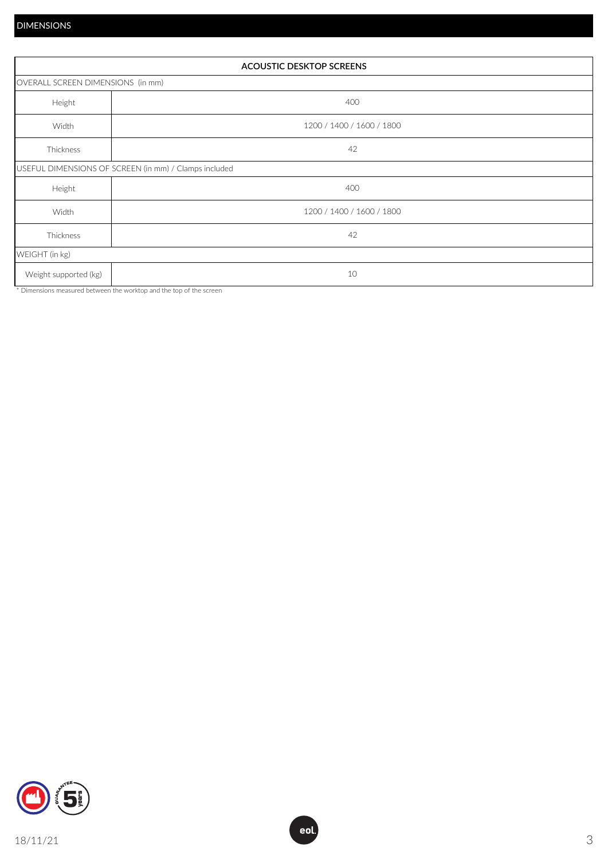| <b>ACOUSTIC DESKTOP SCREENS</b>   |                                                       |  |  |
|-----------------------------------|-------------------------------------------------------|--|--|
| OVERALL SCREEN DIMENSIONS (in mm) |                                                       |  |  |
| Height                            | 400                                                   |  |  |
| Width                             | 1200 / 1400 / 1600 / 1800                             |  |  |
| Thickness                         | 42                                                    |  |  |
|                                   | USEFUL DIMENSIONS OF SCREEN (in mm) / Clamps included |  |  |
| Height                            | 400                                                   |  |  |
| Width                             | 1200 / 1400 / 1600 / 1800                             |  |  |
| Thickness                         | 42                                                    |  |  |
| WEIGHT (in kg)                    |                                                       |  |  |
| Weight supported (kg)             | 10                                                    |  |  |

\* Dimensions measured between the worktop and the top of the screen